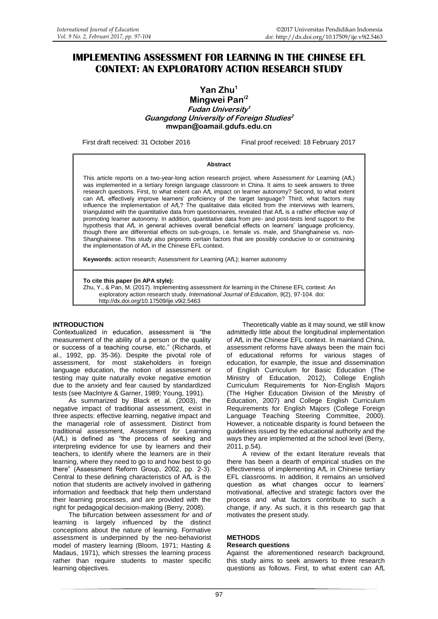# **IMPLEMENTING ASSESSMENT FOR LEARNING IN THE CHINESE EFL CONTEXT: AN EXPLORATORY ACTION RESEARCH STUDY**

**Yan Zhu<sup>1</sup> Mingwei Pani2 Fudan University 1 Guangdong University of Foreign Studies 2 mwpan@oamail.gdufs.edu.cn**

First draft received: 31 October 2016 Final proof received: 18 February 2017

#### **Abstract**

This article reports on a two-year-long action research project, where Assessment *for* Learning (A*f*L) was implemented in a tertiary foreign language classroom in China. It aims to seek answers to three research questions. First, to what extent can A*f*L impact on learner autonomy? Second, to what extent can A*f*L effectively improve learners' proficiency of the target language? Third, what factors may influence the implementation of A*f*L? The qualitative data elicited from the interviews with learners, triangulated with the quantitative data from questionnaires, revealed that A*f*L is a rather effective way of promoting learner autonomy. In addition, quantitative data from pre- and post-tests lend support to the hypothesis that A*f*L in general achieves overall beneficial effects on learners' language proficiency, though there are differential effects on sub-groups, i.e. female vs. male, and Shanghainese vs. non-Shanghainese. This study also pinpoints certain factors that are possibly conducive to or constraining the implementation of A*f*L in the Chinese EFL context.

**Keywords**: action research; Assessment *for* Learning (A*f*L); learner autonomy

**To cite this paper (in APA style):**

Zhu, Y., & Pan, M. (2017). Implementing assessment *for* learning in the Chinese EFL context: An exploratory action research study. *International Journal of Education*, *9*(2), 97-104. doi: http://dx.doi.org/10.17509/ije.v9i2.5463

#### **INTRODUCTION**

Contextualized in education, assessment is "the measurement of the ability of a person or the quality or success of a teaching course, etc." (Richards, et al., 1992, pp. 35-36). Despite the pivotal role of assessment, for most stakeholders in foreign language education, the notion of assessment or testing may quite naturally evoke negative emotion due to the anxiety and fear caused by standardized tests (see Maclntyre & Garner, 1989; Young, 1991).

As summarized by Black et al. (2003), the negative impact of traditional assessment, exist in three aspects: effective learning, negative impact and the managerial role of assessment. Distinct from traditional assessment, Assessment *for* Learning (A*f*L) is defined as "the process of seeking and interpreting evidence for use by learners and their teachers, to identify where the learners are in their learning, where they need to go to and how best to go there" (Assessment Reform Group, 2002, pp. 2-3). Central to these defining characteristics of A*f*L is the notion that students are actively involved in gathering information and feedback that help them understand their learning processes, and are provided with the right for pedagogical decision-making (Berry, 2008).

The bifurcation between assessment *for* and *of* learning is largely influenced by the distinct conceptions about the nature of learning. Formative assessment is underpinned by the neo-behaviorist model of mastery learning (Bloom, 1971; Hasting & Madaus, 1971), which stresses the learning process rather than require students to master specific learning objectives.

Theoretically viable as it may sound, we still know admittedly little about the longitudinal implementation of A*f*L in the Chinese EFL context. In mainland China, assessment reforms have always been the main foci of educational reforms for various stages of education, for example, the issue and dissemination of English Curriculum for Basic Education (The Ministry of Education, 2012), College English Curriculum Requirements for Non-English Majors (The Higher Education Division of the Ministry of Education, 2007) and College English Curriculum Requirements for English Majors (College Foreign Language Teaching Steering Committee, 2000). However, a noticeable disparity is found between the guidelines issued by the educational authority and the ways they are implemented at the school level (Berry, 2011, p.54).

A review of the extant literature reveals that there has been a dearth of empirical studies on the effectiveness of implementing A*f*L in Chinese tertiary EFL classrooms. In addition, it remains an unsolved question as what changes occur to learners' motivational, affective and strategic factors over the process and what factors contribute to such a change, if any. As such, it is this research gap that motivates the present study.

#### **METHODS**

#### **Research questions**

Against the aforementioned research background, this study aims to seek answers to three research questions as follows. First, to what extent can A*f*L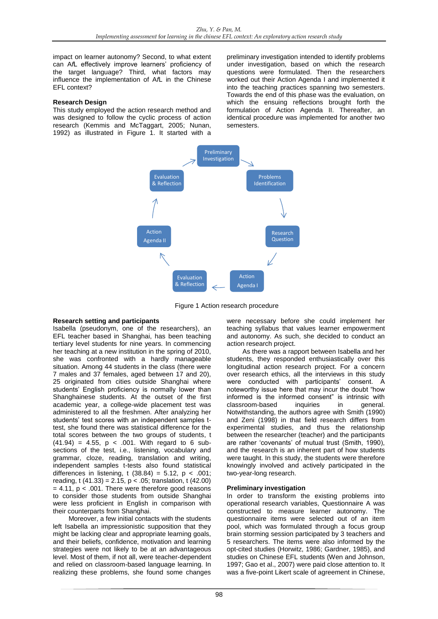impact on learner autonomy? Second, to what extent can A*f*L effectively improve learners' proficiency of the target language? Third, what factors may influence the implementation of A*f*L in the Chinese EFL context?

### **Research Design**

This study employed the action research method and was designed to follow the cyclic process of action research (Kemmis and McTaggart, 2005; Nunan, 1992) as illustrated in Figure 1. It started with a preliminary investigation intended to identify problems under investigation, based on which the research questions were formulated. Then the researchers worked out their Action Agenda I and implemented it into the teaching practices spanning two semesters. Towards the end of this phase was the evaluation, on which the ensuing reflections brought forth the formulation of Action Agenda II. Thereafter, an identical procedure was implemented for another two semesters.



Figure 1 Action research procedure

# **Research setting and participants**

Isabella (pseudonym, one of the researchers), an EFL teacher based in Shanghai, has been teaching tertiary level students for nine years. In commencing her teaching at a new institution in the spring of 2010, she was confronted with a hardly manageable situation. Among 44 students in the class (there were 7 males and 37 females, aged between 17 and 20), 25 originated from cities outside Shanghai where students' English proficiency is normally lower than Shanghainese students. At the outset of the first academic year, a college-wide placement test was administered to all the freshmen. After analyzing her students' test scores with an independent samples ttest, she found there was statistical difference for the total scores between the two groups of students, t  $(41.94) = 4.55$ ,  $p < .001$ . With regard to 6 subsections of the test, i.e., listening, vocabulary and grammar, cloze, reading, translation and writing, independent samples t-tests also found statistical differences in listening, t  $(38.84) = 5.12$ , p < .001; reading, t  $(41.33) = 2.15$ ,  $p < .05$ ; translation, t  $(42.00)$  $= 4.11$ ,  $p < .001$ . There were therefore good reasons to consider those students from outside Shanghai were less proficient in English in comparison with their counterparts from Shanghai.

Moreover, a few initial contacts with the students left Isabella an impressionistic supposition that they might be lacking clear and appropriate learning goals, and their beliefs, confidence, motivation and learning strategies were not likely to be at an advantageous level. Most of them, if not all, were teacher-dependent and relied on classroom-based language learning. In realizing these problems, she found some changes were necessary before she could implement her teaching syllabus that values learner empowerment and autonomy. As such, she decided to conduct an action research project.

As there was a rapport between Isabella and her students, they responded enthusiastically over this longitudinal action research project. For a concern over research ethics, all the interviews in this study were conducted with participants' consent. A noteworthy issue here that may incur the doubt "how informed is the informed consent" is intrinsic with classroom-based inquiries in general. Notwithstanding, the authors agree with Smith (1990) and Zeni (1998) in that field research differs from experimental studies, and thus the relationship between the researcher (teacher) and the participants are rather 'covenants' of mutual trust (Smith, 1990), and the research is an inherent part of how students were taught. In this study, the students were therefore knowingly involved and actively participated in the two-year-long research.

# **Preliminary investigation**

In order to transform the existing problems into operational research variables, Questionnaire A was constructed to measure learner autonomy. The questionnaire items were selected out of an item pool, which was formulated through a focus group brain storming session participated by 3 teachers and 5 researchers. The items were also informed by the opt-cited studies (Horwitz, 1986; Gardner, 1985), and studies on Chinese EFL students (Wen and Johnson, 1997; Gao et al., 2007) were paid close attention to. It was a five-point Likert scale of agreement in Chinese,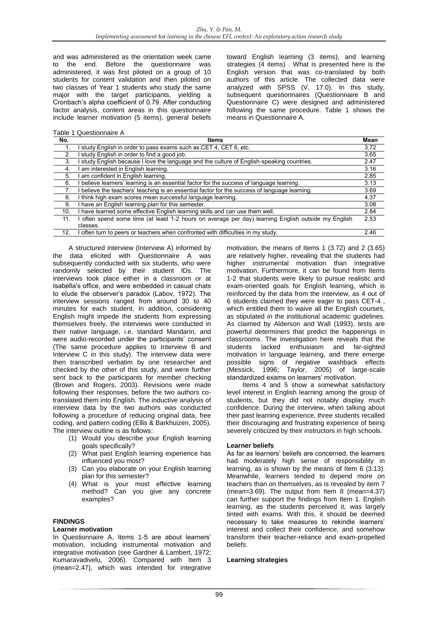and was administered as the orientation week came to the end. Before the questionnaire was administered, it was first piloted on a group of 10 students for content validation and then piloted on two classes of Year 1 students who study the same major with the target participants, yielding a Cronbach's alpha coefficient of 0.79. After conducting factor analysis, content areas in this questionnaire include learner motivation (5 items), general beliefs

Table 1 Questionnaire A

toward English learning (3 items), and learning strategies (4 items) . What is presented here is the English version that was co-translated by both authors of this article. The collected data were analyzed with SPSS (V. 17.0). In this study, subsequent questionnaires (Questionnaire B and Questionnaire C) were designed and administered following the same procedure. Table 1 shows the means in Questionnaire A.

| No. | Items                                                                                               | Mean |
|-----|-----------------------------------------------------------------------------------------------------|------|
|     | study English in order to pass exams such as CET 4, CET 6, etc.                                     | 3.72 |
| 2.  | study English in order to find a good job.                                                          | 3.65 |
| 3.  | study English because I love the language and the culture of English-speaking countries.            | 2.47 |
| 4.  | am interested in English learning.                                                                  | 3.16 |
| 5.  | I am confident in English learning.                                                                 | 2.85 |
| 6.  | I believe learners' learning is an essential factor for the success of language learning.           | 3.13 |
|     | I believe the teachers' teaching is an essential factor for the success of language learning.       | 3.69 |
| 8.  | I think high exam scores mean successful language learning.                                         | 4.37 |
| 9.  | I have an English learning plan for this semester.                                                  | 3.08 |
| 10. | I have learned some effective English learning skills and can use them well.                        | 2.84 |
| 11. | I often spend some time (at least 1-2 hours on average per day) learning English outside my English | 2.53 |
|     | classes.                                                                                            |      |
| 12. | I often turn to peers or teachers when confronted with difficulties in my study.                    | 2.46 |

A structured interview (Interview A) informed by the data elicited with Questionnaire A was subsequently conducted with six students, who were randomly selected by their student IDs. The interviews took place either in a classroom or at Isabella's office, and were embedded in casual chats to elude the observer's paradox (Labov, 1972). The interview sessions ranged from around 30 to 40 minutes for each student. In addition, considering English might impede the students from expressing themselves freely, the interviews were conducted in their native language, i.e. standard Mandarin, and were audio-recorded under the participants' consent (The same procedure applies to Interview B and Interview C in this study). The interview data were then transcribed verbatim by one researcher and checked by the other of this study, and were further sent back to the participants for member checking (Brown and Rogers, 2003). Revisions were made following their responses, before the two authors cotranslated them into English. The inductive analysis of interview data by the two authors was conducted following a procedure of reducing original data, free coding, and pattern coding (Ellis & Barkhuizen, 2005). The interview outline is as follows:

- (1) Would you describe your English learning goals specifically?
- (2) What past English learning experience has influenced you most?
- (3) Can you elaborate on your English learning plan for this semester?
- (4) What is your most effective learning method? Can you give any concrete examples?

# **FINDINGS**

# **Learner motivation**

In Questionnaire A, Items 1-5 are about learners' motivation, including instrumental motivation and integrative motivation (see Gardner & Lambert, 1972; Kumaravadivelu, 2006). Compared with Item 3 (mean=2.47), which was intended for integrative

motivation, the means of Items 1 (3.72) and 2 (3.65) are relatively higher, revealing that the students had higher instrumental motivation than integrative motivation. Furthermore, it can be found from Items 1-2 that students were likely to pursue realistic and exam-oriented goals for English learning, which is reinforced by the data from the interview, as 4 out of 6 students claimed they were eager to pass CET-4 , which entitled them to waive all the English courses, as stipulated in the institutional academic guidelines. As claimed by Alderson and Wall (1993), tests are powerful determiners that predict the happenings in classrooms. The investigation here reveals that the students lacked enthusiasm and far-sighted motivation in language learning, and there emerge possible signs of negative washback effects (Messick, 1996; Taylor, 2005) of large-scale standardized exams on learners' motivation.

Items 4 and 5 show a somewhat satisfactory level interest in English learning among the group of students, but they did not notably display much confidence. During the interview, when talking about their past learning experience, three students recalled their discouraging and frustrating experience of being severely criticized by their instructors in high schools.

#### **Learner beliefs**

As far as learners' beliefs are concerned, the learners had moderately high sense of responsibility in learning, as is shown by the means of Item 6 (3.13). Meanwhile, learners tended to depend more on teachers than on themselves, as is revealed by item 7 (mean=3.69). The output from Item 8 (mean=4.37) can further support the findings from Item 1. English learning, as the students perceived it, was largely tinted with exams. With this, it should be deemed necessary to take measures to rekindle learners' interest and collect their confidence, and somehow transform their teacher-reliance and exam-propelled beliefs.

### **Learning strategies**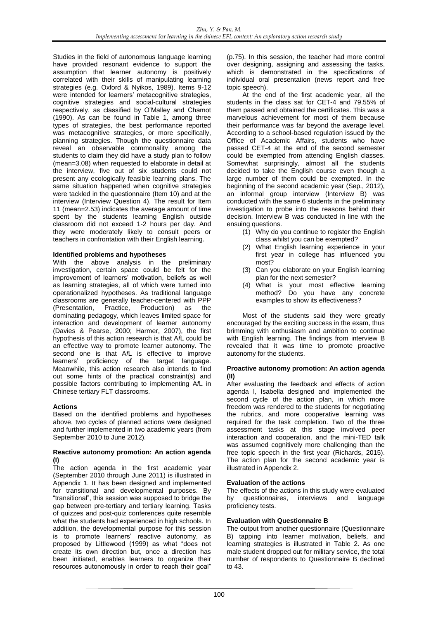Studies in the field of autonomous language learning have provided resonant evidence to support the assumption that learner autonomy is positively correlated with their skills of manipulating learning strategies (e.g. Oxford & Nyikos, 1989). Items 9-12 were intended for learners' metacognitive strategies. cognitive strategies and social-cultural strategies respectively, as classified by O'Malley and Chamot (1990). As can be found in Table 1, among three types of strategies, the best performance reported was metacognitive strategies, or more specifically, planning strategies. Though the questionnaire data reveal an observable commonality among the students to claim they did have a study plan to follow (mean=3.08) when requested to elaborate in detail at the interview, five out of six students could not present any ecologically feasible learning plans. The same situation happened when cognitive strategies were tackled in the questionnaire (Item 10) and at the interview (Interview Question 4). The result for Item 11 (mean=2.53) indicates the average amount of time spent by the students learning English outside classroom did not exceed 1-2 hours per day. And they were moderately likely to consult peers or teachers in confrontation with their English learning.

# **Identified problems and hypotheses**

With the above analysis in the preliminary investigation, certain space could be felt for the improvement of learners' motivation, beliefs as well as learning strategies, all of which were turned into operationalized hypotheses. As traditional language classrooms are generally teacher-centered with PPP (Presentation, Practice, Production) as the dominating pedagogy, which leaves limited space for interaction and development of learner autonomy (Davies & Pearse, 2000; Harmer, 2007), the first hypothesis of this action research is that A*f*L could be an effective way to promote learner autonomy. The second one is that A*f*L is effective to improve learners' proficiency of the target language. Meanwhile, this action research also intends to find out some hints of the practical constraint(s) and possible factors contributing to implementing A*f*L in Chinese tertiary FLT classrooms.

# **Actions**

Based on the identified problems and hypotheses above, two cycles of planned actions were designed and further implemented in two academic years (from September 2010 to June 2012).

### **Reactive autonomy promotion: An action agenda (I)**

The action agenda in the first academic year (September 2010 through June 2011) is illustrated in Appendix 1. It has been designed and implemented for transitional and developmental purposes. By "transitional", this session was supposed to bridge the gap between pre-tertiary and tertiary learning. Tasks of quizzes and post-quiz conferences quite resemble what the students had experienced in high schools. In addition, the developmental purpose for this session is to promote learners' reactive autonomy, as proposed by Littlewood (1999) as what "does not create its own direction but, once a direction has been initiated, enables learners to organize their resources autonomously in order to reach their goal"

(p.75). In this session, the teacher had more control over designing, assigning and assessing the tasks, which is demonstrated in the specifications of individual oral presentation (news report and free topic speech).

At the end of the first academic year, all the students in the class sat for CET-4 and 79.55% of them passed and obtained the certificates. This was a marvelous achievement for most of them because their performance was far beyond the average level. According to a school-based regulation issued by the Office of Academic Affairs, students who have passed CET-4 at the end of the second semester could be exempted from attending English classes. Somewhat surprisingly, almost all the students decided to take the English course even though a large number of them could be exempted. In the beginning of the second academic year (Sep., 2012), an informal group interview (Interview B) was conducted with the same 6 students in the preliminary investigation to probe into the reasons behind their decision. Interview B was conducted in line with the ensuing questions.

- (1) Why do you continue to register the English class whilst you can be exempted?
- (2) What English learning experience in your first year in college has influenced you most?
- (3) Can you elaborate on your English learning plan for the next semester?
- (4) What is your most effective learning method? Do you have any concrete examples to show its effectiveness?

Most of the students said they were greatly encouraged by the exciting success in the exam, thus brimming with enthusiasm and ambition to continue with English learning. The findings from interview B revealed that it was time to promote proactive autonomy for the students.

# **Proactive autonomy promotion: An action agenda (II)**

After evaluating the feedback and effects of action agenda I, Isabella designed and implemented the second cycle of the action plan, in which more freedom was rendered to the students for negotiating the rubrics, and more cooperative learning was required for the task completion. Two of the three assessment tasks at this stage involved peer interaction and cooperation, and the mini-TED talk was assumed cognitively more challenging than the free topic speech in the first year (Richards, 2015). The action plan for the second academic year is illustrated in Appendix 2.

# **Evaluation of the actions**

The effects of the actions in this study were evaluated by questionnaires, interviews and language proficiency tests.

# **Evaluation with Questionnaire B**

The output from another questionnaire (Questionnaire B) tapping into learner motivation, beliefs, and learning strategies is illustrated in Table 2. As one male student dropped out for military service, the total number of respondents to Questionnaire B declined to 43.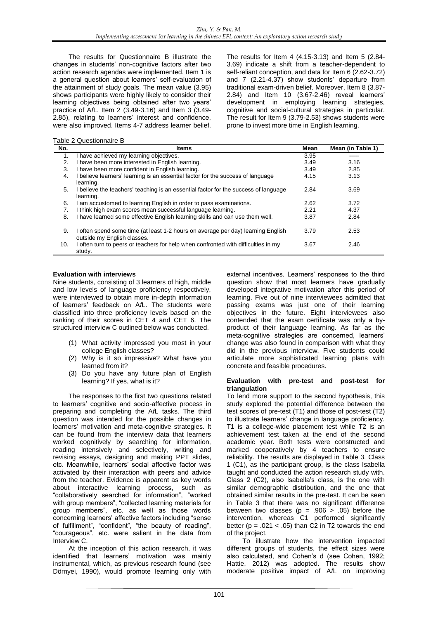The results for Questionnaire B illustrate the changes in students' non-cognitive factors after two action research agendas were implemented. Item 1 is a general question about learners' self-evaluation of the attainment of study goals. The mean value (3.95) shows participants were highly likely to consider their learning objectives being obtained after two years' practice of A*f*L. Item 2 (3.49-3.16) and Item 3 (3.49- 2.85), relating to learners' interest and confidence, were also improved. Items 4-7 address learner belief. The results for Item 4 (4.15-3.13) and Item 5 (2.84- 3.69) indicate a shift from a teacher-dependent to self-reliant conception, and data for Item 6 (2.62-3.72) and 7 (2.21-4.37) show students' departure from traditional exam-driven belief. Moreover, Item 8 (3.87- 2.84) and Item 10 (3.67-2.46) reveal learners' development in employing learning strategies, cognitive and social-cultural strategies in particular. The result for Item 9 (3.79-2.53) shows students were prone to invest more time in English learning.

Table 2 Questionnaire B

| No. | Items                                                                                                           | Mean | Mean (in Table 1) |
|-----|-----------------------------------------------------------------------------------------------------------------|------|-------------------|
| 1.  | I have achieved my learning objectives.                                                                         | 3.95 | -----             |
| 2.  | I have been more interested in English learning.                                                                | 3.49 | 3.16              |
| 3.  | I have been more confident in English learning.                                                                 | 3.49 | 2.85              |
| 4.  | I believe learners' learning is an essential factor for the success of language<br>learning.                    | 4.15 | 3.13              |
| 5.  | I believe the teachers' teaching is an essential factor for the success of language<br>learning.                | 2.84 | 3.69              |
| 6.  | I am accustomed to learning English in order to pass examinations.                                              | 2.62 | 3.72              |
| 7.  | I think high exam scores mean successful language learning.                                                     | 2.21 | 4.37              |
| 8.  | I have learned some effective English learning skills and can use them well.                                    | 3.87 | 2.84              |
| 9.  | I often spend some time (at least 1-2 hours on average per day) learning English<br>outside my English classes. | 3.79 | 2.53              |
| 10. | I often turn to peers or teachers for help when confronted with difficulties in my<br>study.                    | 3.67 | 2.46              |

# **Evaluation with interviews**

Nine students, consisting of 3 learners of high, middle and low levels of language proficiency respectively, were interviewed to obtain more in-depth information of learners' feedback on A*f*L. The students were classified into three proficiency levels based on the ranking of their scores in CET 4 and CET 6. The structured interview C outlined below was conducted.

- (1) What activity impressed you most in your college English classes?
- (2) Why is it so impressive? What have you learned from it?
- (3) Do you have any future plan of English learning? If yes, what is it?

The responses to the first two questions related to learners' cognitive and socio-affective process in preparing and completing the A*f*L tasks. The third question was intended for the possible changes in learners' motivation and meta-cognitive strategies. It can be found from the interview data that learners worked cognitively by searching for information, reading intensively and selectively, writing and revising essays, designing and making PPT slides, etc. Meanwhile, learners' social affective factor was activated by their interaction with peers and advice from the teacher. Evidence is apparent as key words about interactive learning process, such as "collaboratively searched for information", "worked with group members", "collected learning materials for group members", etc. as well as those words concerning learners' affective factors including "sense of fulfillment", "confident", "the beauty of reading", "courageous", etc. were salient in the data from Interview C.

At the inception of this action research, it was identified that learners' motivation was mainly instrumental, which, as previous research found (see Dörnyei, 1990), would promote learning only with

external incentives. Learners' responses to the third question show that most learners have gradually developed integrative motivation after this period of learning. Five out of nine interviewees admitted that passing exams was just one of their learning objectives in the future. Eight interviewees also contended that the exam certificate was only a byproduct of their language learning. As far as the meta-cognitive strategies are concerned, learners' change was also found in comparison with what they did in the previous interview. Five students could articulate more sophisticated learning plans with concrete and feasible procedures.

### **Evaluation with pre-test and post-test for triangulation**

To lend more support to the second hypothesis, this study explored the potential difference between the test scores of pre-test (T1) and those of post-test (T2) to illustrate learners' change in language proficiency. T1 is a college-wide placement test while T2 is an achievement test taken at the end of the second academic year. Both tests were constructed and marked cooperatively by 4 teachers to ensure reliability. The results are displayed in Table 3. Class 1 (C1), as the participant group, is the class Isabella taught and conducted the action research study with. Class 2 (C2), also Isabella's class, is the one with similar demographic distribution, and the one that obtained similar results in the pre-test. It can be seen in Table 3 that there was no significant difference between two classes ( $p = .906 > .05$ ) before the intervention, whereas C1 performed significantly better ( $p = .021 < .05$ ) than C2 in T2 towards the end of the project.

To illustrate how the intervention impacted different groups of students, the effect sizes were also calculated, and Cohen's d (see Cohen, 1992; Hattie, 2012) was adopted. The results show moderate positive impact of A*f*L on improving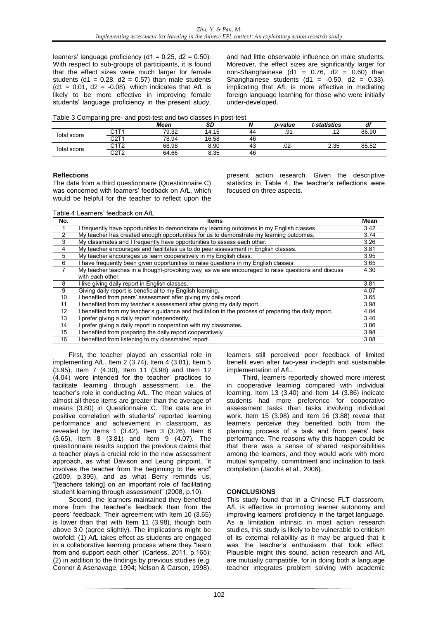learners' language proficiency (d1 =  $0.25$ , d2 =  $0.50$ ). With respect to sub-groups of participants, it is found that the effect sizes were much larger for female students (d1 =  $0.28$ , d2 =  $0.57$ ) than male students  $(d1 = 0.01, d2 = -0.08)$ , which indicates that A $\Lambda$  is likely to be more effective in improving female students' language proficiency in the present study, and had little observable influence on male students. Moreover, the effect sizes are significantly larger for non-Shanghainese (d1 =  $0.76$ , d2 =  $0.60$ ) than Shanghainese students  $(d1 = -0.50, d2 = 0.33)$ , implicating that A*f*L is more effective in mediating foreign language learning for those who were initially under-developed.

| Table 3 Comparing pre- and post-test and two classes in post-test |  |
|-------------------------------------------------------------------|--|
|-------------------------------------------------------------------|--|

|             |                  | Mean  | <b>SD</b> | N  | p-value | t-statistics | df    |
|-------------|------------------|-------|-----------|----|---------|--------------|-------|
| Total score | ⌒ィ〒.<br>◡╷╷      | 79.32 | 14.15     | 44 | .91     | 10           | 86.90 |
|             | $\sim$<br>ا ےب   | 78.94 | 16.58     | 46 |         |              |       |
| Total score | <b>CATO</b>      | 68.98 | 8.90      | 43 | $.02 -$ | 2.35         | 85.52 |
|             | $\sim$<br>62 I Z | 64.66 | 8.35      | 46 |         |              |       |

# **Reflections**

The data from a third questionnaire (Questionnaire C) was concerned with learners' feedback on A*f*L, which would be helpful for the teacher to reflect upon the present action research. Given the descriptive statistics in Table 4, the teacher's reflections were focused on three aspects.

Table 4 Learners' feedback on A*f*L

| No.            | ltems                                                                                               | Mean |
|----------------|-----------------------------------------------------------------------------------------------------|------|
|                | I frequently have opportunities to demonstrate my learning outcomes in my English classes.          | 3.42 |
| $\overline{2}$ | My teacher has created enough opportunities for us to demonstrate my learning outcomes.             | 3.74 |
| $\overline{3}$ | My classmates and I frequently have opportunities to assess each other.                             | 3.26 |
| 4              | My teacher encourages and facilitates us to do peer assessment in English classes.                  | 3.81 |
| $\overline{5}$ | My teacher encourages us learn cooperatively in my English class.                                   | 3.95 |
| 6              | I have frequently been given opportunities to raise guestions in my English classes.                | 3.65 |
| $\overline{7}$ | My teacher teaches in a thought-provoking way, as we are encouraged to raise questions and discuss  | 4.30 |
|                | with each other.                                                                                    |      |
| 8              | I like giving daily report in English classes.                                                      | 3.81 |
| 9              | Giving daily report is beneficial to my English learning.                                           | 4.07 |
| 10             | benefited from peers' assessment after giving my daily report.                                      | 3.65 |
| 11             | benefited from my teacher's assessment after giving my daily report.                                | 3.98 |
| 12             | benefited from my teacher's quidance and facilitation in the process of preparing the daily report. | 4.04 |
| 13             | prefer giving a daily report independently.                                                         | 3.40 |
| 14             | prefer giving a daily report in cooperation with my classmates.                                     | 3.86 |
| 15             | benefited from preparing the daily report cooperatively.                                            | 3.98 |
| 16             | benefited from listening to my classmates' report.                                                  | 3.88 |

First, the teacher played an essential role in implementing A*f*L. Item 2 (3.74), Item 4 (3.81), Item 5 (3.95), Item 7 (4.30), Item 11 (3.98) and Item 12 (4.04) were intended for the teacher' practices to facilitate learning through assessment, i.e. the teacher's role in conducting A*f*L. The mean values of almost all these items are greater than the average of means (3.80) in Questionnaire C. The data are in positive correlation with students' reported learning performance and achievement in classroom, as revealed by Items 1 (3.42), Item 3 (3.26), Item 6 (3.65), Item 8 (3.81) and Item 9 (4.07). The questionnaire results support the previous claims that a teacher plays a crucial role in the new assessment approach, as what Davison and Leung pinpoint, "it involves the teacher from the beginning to the end" (2009, p.395), and as what Berry reminds us, "[teachers taking] on an important role of facilitating student learning through assessment" (2008, p.10).

Second, the learners maintained they benefited more from the teacher's feedback than from the peers' feedback. Their agreement with Item 10 (3.65) is lower than that with Item 11 (3.98), though both above 3.0 (agree slightly). The implications might be twofold: (1) A*f*L takes effect as students are engaged in a collaborative learning process where they "learn from and support each other" (Carless, 2011, p.165); (2) in addition to the findings by previous studies (e.g. Connor & Asenavage, 1994; Nelson & Carson, 1998),

learners still perceived peer feedback of limited benefit even after two-year in-depth and sustainable implementation of A*f*L.

Third, learners reportedly showed more interest in cooperative learning compared with individual learning. Item 13 (3.40) and Item 14 (3.86) indicate students had more preference for cooperative assessment tasks than tasks involving individual work. Item 15 (3.98) and Item 16 (3.88) reveal that learners perceive they benefited both from the planning process of a task and from peers' task performance. The reasons why this happen could be that there was a sense of shared responsibilities among the learners, and they would work with more mutual sympathy, commitment and inclination to task completion (Jacobs et al., 2006).

# **CONCLUSIONS**

This study found that in a Chinese FLT classroom, A*f*L is effective in promoting learner autonomy and improving learners' proficiency in the target language. As a limitation intrinsic in most action research studies, this study is likely to be vulnerable to criticism of its external reliability as it may be argued that it was the teacher's enthusiasm that took effect. Plausible might this sound, action research and A*f*L are mutually compatible, for in doing both a language teacher integrates problem solving with academic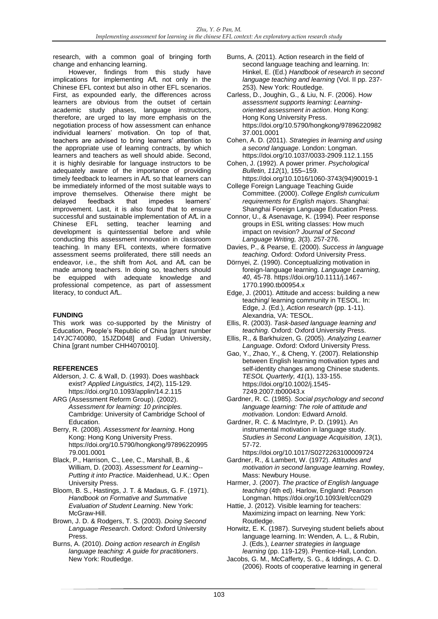research, with a common goal of bringing forth change and enhancing learning.

However, findings from this study have implications for implementing A*f*L not only in the Chinese EFL context but also in other EFL scenarios. First, as expounded early, the differences across learners are obvious from the outset of certain academic study phases, language instructors, therefore, are urged to lay more emphasis on the negotiation process of how assessment can enhance individual learners' motivation. On top of that, teachers are advised to bring learners' attention to the appropriate use of learning contracts, by which learners and teachers as well should abide. Second, it is highly desirable for language instructors to be adequately aware of the importance of providing timely feedback to learners in A*f*L so that learners can be immediately informed of the most suitable ways to improve themselves. Otherwise there might be delayed feedback that impedes learners' improvement. Last, it is also found that to ensure successful and sustainable implementation of A*f*L in a Chinese EFL setting, teacher learning and development is quintessential before and while conducting this assessment innovation in classroom teaching. In many EFL contexts, where formative assessment seems proliferated, there still needs an endeavor, i.e., the shift from A*o*L and A*f*L can be made among teachers. In doing so, teachers should be equipped with adequate knowledge and professional competence, as part of assessment literacy, to conduct A*f*L.

# **FUNDING**

This work was co-supported by the Ministry of Education, People's Republic of China [grant number 14YJC740080, 15JZD048] and Fudan University, China [grant number CHH4070010].

# **REFERENCES**

- Alderson, J. C. & Wall, D. (1993). Does washback exist? *Applied Linguistics, 14*(2), 115-129. <https://doi.org/10.1093/applin/14.2.115>
- ARG (Assessment Reform Group). (2002). *Assessment for learning: 10 principles.* Cambridge: University of Cambridge School of Education.
- Berry, R. (2008). *Assessment for learning*. Hong Kong: Hong Kong University Press. https://doi.org/10.5790/hongkong/97896220995 79.001.0001
- Black, P., Harrison, C., Lee, C., Marshall, B., & William, D. (2003). *Assessment for Learning-- Putting it into Practice*. Maidenhead, U.K.: Open University Press.
- Bloom, B. S., Hastings, J. T. & Madaus, G. F. (1971). *Handbook on Formative and Summative Evaluation of Student Learning*. New York: McGraw-Hill.
- Brown, J. D. & Rodgers, T. S. (2003). *Doing Second Language Research*. Oxford: Oxford University Press.
- Burns, A. (2010). *Doing action research in English language teaching: A guide for practitioners*. New York: Routledge.
- Burns, A. (2011). Action research in the field of second language teaching and learning. In: Hinkel, E. (Ed.) *Handbook of research in second language teaching and learning* (Vol. II pp. 237- 253). New York: Routledge.
- Carless, D., Joughin, G., & Liu, N. F. (2006). H*ow assessment supports learning: Learningoriented assessment in action*. Hong Kong: Hong Kong University Press. https://doi.org/10.5790/hongkong/97896220982 37.001.0001
- Cohen, A. D. (2011). *Strategies in learning and using a second language*. London: Longman.
- https://doi.org/10.1037/0033-2909.112.1.155 Cohen, J. (1992). A power primer. *Psychological Bulletin, 112*(1), 155–159.
- https://doi.org/10.1016/1060-3743(94)90019-1 College Foreign Language Teaching Guide Committee. (2000). *College English curriculum*
- *requirements for English majors*. Shanghai: Shanghai Foreign Language Education Press.
- Connor, U., & Asenavage, K. (1994). Peer response groups in ESL writing classes: How much impact on revision? *Journal of Second Language Writing, 3*(3). 257-276.
- Davies, P., & Pearse, E. (2000). *Success in language teaching*. Oxford: Oxford University Press.
- Dörnyei, Z. (1990). Conceptualizing motivation in foreign-language learning. *Language Learning, 40*, 45-78. https://doi.org/10.1111/j.1467- 1770.1990.tb00954.x
- Edge, J. (2001). Attitude and access: building a new teaching/ learning community in TESOL. In: Edge, J. (Ed.), *Action research* (pp. 1-11). Alexandria, VA: TESOL.
- Ellis, R. (2003). *Task-based language learning and teaching*. Oxford: Oxford University Press.
- Ellis, R., & Barkhuizen, G. (2005). *Analyzing Learner Language*. Oxford: Oxford University Press.
- Gao, Y., Zhao, Y., & Cheng, Y. (2007). Relationship between English learning motivation types and self-identity changes among Chinese students. *TESOL Quarterly, 41*(1), 133-155. https://doi.org/10.1002/j.1545- 7249.2007.tb00043.x
- Gardner, R. C. (1985). *Social psychology and second language learning: The role of attitude and motivation.* London: Edward Arnold.
- Gardner, R. C. & Maclntyre, P. D. (1991). An instrumental motivation in language study. *Studies in Second Language Acquisition, 13*(1), 57-72.
- https://doi.org/10.1017/S0272263100009724
- Gardner, R., & Lambert, W. (1972). *Attitudes and motivation in second language learning*. Rowley, Mass: Newbury House.
- Harmer, J. (2007). *The practice of English language teaching* (4th ed). Harlow, England: Pearson Longman. https://doi.org/10.1093/elt/ccn029
- Hattie, J. (2012). Visible learning for teachers: Maximizing impact on learning. New York: Routledge.
- Horwitz, E. K. (1987). Surveying student beliefs about language learning. In: Wenden, A. L., & Rubin, J. (Eds.), *Learner strategies in language learning* (pp. 119-129). Prentice-Hall, London.
- Jacobs, G. M., McCafferty, S. G., & Iddings, A. C. D. (2006). Roots of cooperative learning in general